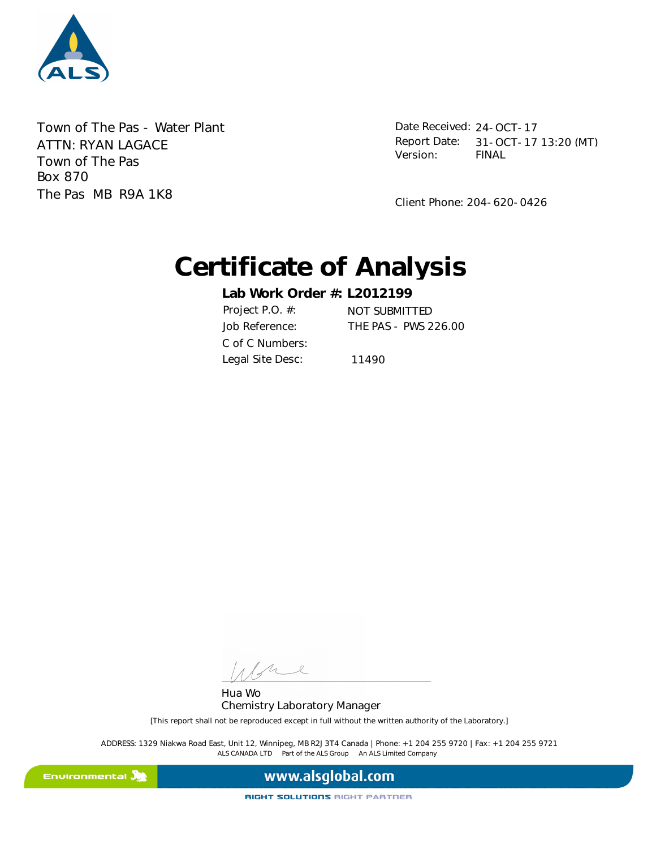

Town of The Pas - Water Plant Town of The Pas Box 870 The Pas MB R9A 1K8 ATTN: RYAN LAGACE

Date Received: 24-OCT-17 FINAL Report Date: 31-OCT-17 13:20 (MT) Version:

Client Phone: 204-620-0426

# **Certificate of Analysis**

**Lab Work Order #: L2012199** Job Reference: THE PAS - PWS 226.00 Project P.O. #: NOT SUBMITTED C of C Numbers: Legal Site Desc: 11490

L  $\frac{1}{2}$ 

Hua Wo Chemistry Laboratory Manager

[This report shall not be reproduced except in full without the written authority of the Laboratory.]

ALS CANADA LTD Part of the ALS Group An ALS Limited Company ADDRESS: 1329 Niakwa Road East, Unit 12, Winnipeg, MB R2J 3T4 Canada | Phone: +1 204 255 9720 | Fax: +1 204 255 9721

Environmental **A** 

www.alsglobal.com

RIGHT SOLUTIONS RIGHT PARTNER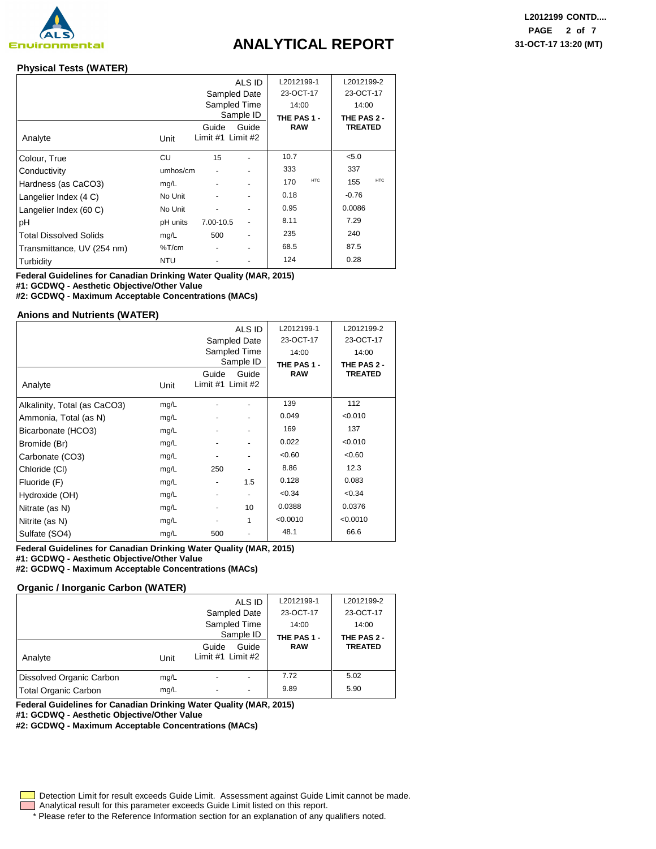

## **ANALYTICAL REPORT 31-OCT-17 13:20 (MT)**

### **Physical Tests (WATER)**

|                               |          |                            | ALS ID       | L2012199-1  |            | L2012199-2     |            |
|-------------------------------|----------|----------------------------|--------------|-------------|------------|----------------|------------|
|                               |          |                            | Sampled Date | 23-OCT-17   |            | 23-OCT-17      |            |
|                               |          |                            | Sampled Time | 14:00       |            | 14:00          |            |
|                               |          |                            | Sample ID    | THE PAS 1 - |            | THE PAS 2 -    |            |
| Analyte                       | Unit     | Guide<br>Limit #1 Limit #2 | Guide        | <b>RAW</b>  |            | <b>TREATED</b> |            |
| Colour, True                  | CU       | 15                         |              | 10.7        |            | < 5.0          |            |
| Conductivity                  | umhos/cm |                            |              | 333         |            | 337            |            |
| Hardness (as CaCO3)           | mg/L     |                            |              | 170         | <b>HTC</b> | 155            | <b>HTC</b> |
| Langelier Index (4 C)         | No Unit  |                            |              | 0.18        |            | -0.76          |            |
| Langelier Index (60 C)        | No Unit  |                            |              | 0.95        |            | 0.0086         |            |
| рH                            | pH units | 7.00-10.5                  |              | 8.11        |            | 7.29           |            |
| <b>Total Dissolved Solids</b> | mg/L     | 500                        |              | 235         |            | 240            |            |
| Transmittance, UV (254 nm)    | %T/cm    |                            |              | 68.5        |            | 87.5           |            |
| Turbidity                     | NTU      |                            |              | 124         |            | 0.28           |            |

**Federal Guidelines for Canadian Drinking Water Quality (MAR, 2015) #1: GCDWQ - Aesthetic Objective/Other Value**

**#2: GCDWQ - Maximum Acceptable Concentrations (MACs)**

#### **Anions and Nutrients (WATER)**

|                              |      |                            | ALS ID                   | L2012199-1  | L2012199-2     |
|------------------------------|------|----------------------------|--------------------------|-------------|----------------|
|                              |      |                            | Sampled Date             | 23-OCT-17   | 23-OCT-17      |
|                              |      |                            | Sampled Time             | 14:00       | 14:00          |
|                              |      |                            | Sample ID                | THE PAS 1 - | THE PAS 2 -    |
| Analyte                      | Unit | Guide<br>Limit #1 Limit #2 | Guide                    | <b>RAW</b>  | <b>TREATED</b> |
| Alkalinity, Total (as CaCO3) | mg/L |                            |                          | 139         | 112            |
| Ammonia, Total (as N)        | mg/L |                            |                          | 0.049       | < 0.010        |
| Bicarbonate (HCO3)           | mg/L |                            |                          | 169         | 137            |
| Bromide (Br)                 | mg/L | -                          | $\overline{\phantom{a}}$ | 0.022       | < 0.010        |
| Carbonate (CO3)              | mg/L |                            |                          | <0.60       | <0.60          |
| Chloride (CI)                | mg/L | 250                        |                          | 8.86        | 12.3           |
| Fluoride (F)                 | mg/L | -                          | 1.5                      | 0.128       | 0.083          |
| Hydroxide (OH)               | mg/L | -                          | $\overline{\phantom{a}}$ | < 0.34      | < 0.34         |
| Nitrate (as N)               | mg/L | ۰                          | 10                       | 0.0388      | 0.0376         |
| Nitrite (as N)               | mg/L |                            | 1                        | < 0.0010    | < 0.0010       |
| Sulfate (SO4)                | mg/L | 500                        |                          | 48.1        | 66.6           |

**Federal Guidelines for Canadian Drinking Water Quality (MAR, 2015) #1: GCDWQ - Aesthetic Objective/Other Value**

**#2: GCDWQ - Maximum Acceptable Concentrations (MACs)**

#### **Organic / Inorganic Carbon (WATER)**

|                             |      | ALS ID<br>Sampled Date<br>Sampled Time | L2012199-1<br>23-OCT-17<br>14:00 | L2012199-2<br>23-OCT-17<br>14:00 |
|-----------------------------|------|----------------------------------------|----------------------------------|----------------------------------|
|                             |      | Sample ID                              | THE PAS 1 -                      | THE PAS 2 -                      |
| Analyte                     | Unit | Guide<br>Guide<br>Limit #1 Limit #2    | <b>RAW</b>                       | <b>TREATED</b>                   |
| Dissolved Organic Carbon    | mg/L | ۰                                      | 7.72                             | 5.02                             |
| <b>Total Organic Carbon</b> | mg/L | ٠                                      | 9.89                             | 5.90                             |

**Federal Guidelines for Canadian Drinking Water Quality (MAR, 2015)**

**#1: GCDWQ - Aesthetic Objective/Other Value**

**#2: GCDWQ - Maximum Acceptable Concentrations (MACs)**

Detection Limit for result exceeds Guide Limit. Assessment against Guide Limit cannot be made.

Analytical result for this parameter exceeds Guide Limit listed on this report.

\* Please refer to the Reference Information section for an explanation of any qualifiers noted.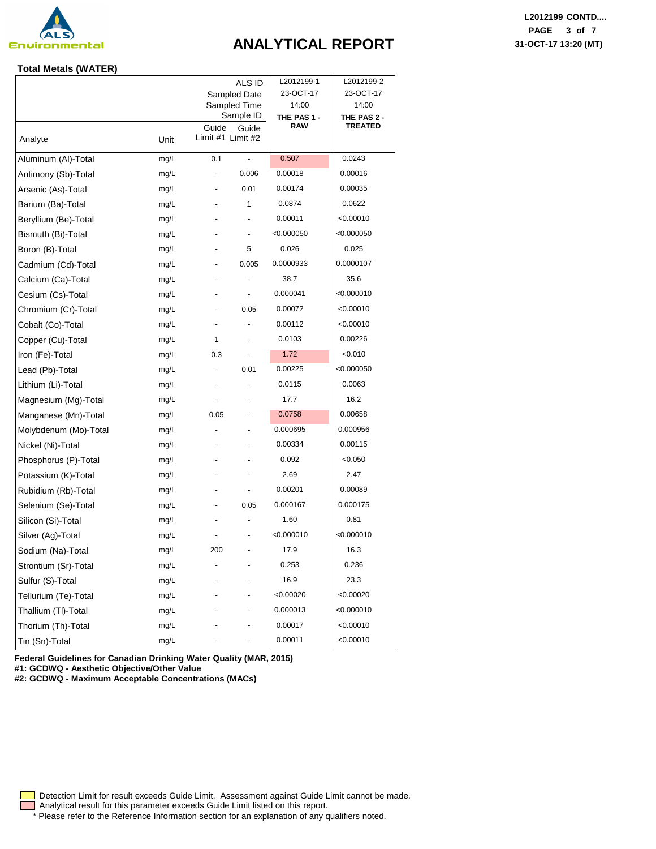

## **ANALYTICAL REPORT 31-OCT-17 13:20 (MT)**

### **Total Metals (WATER)**

|                       |      |                   | ALS ID                    | L2012199-1           | L2012199-2           |
|-----------------------|------|-------------------|---------------------------|----------------------|----------------------|
|                       |      |                   | Sampled Date              | 23-OCT-17            | 23-OCT-17            |
|                       |      |                   | Sampled Time<br>Sample ID | 14:00<br>THE PAS 1 - | 14:00<br>THE PAS 2 - |
|                       |      | Guide             | Guide                     | <b>RAW</b>           | TREATED              |
| Analyte               | Unit | Limit #1 Limit #2 |                           |                      |                      |
| Aluminum (Al)-Total   | mg/L | 0.1               | $\overline{\phantom{a}}$  | 0.507                | 0.0243               |
| Antimony (Sb)-Total   | mg/L | ٠                 | 0.006                     | 0.00018              | 0.00016              |
| Arsenic (As)-Total    | mg/L |                   | 0.01                      | 0.00174              | 0.00035              |
| Barium (Ba)-Total     | mg/L |                   | 1                         | 0.0874               | 0.0622               |
| Beryllium (Be)-Total  | mg/L |                   |                           | 0.00011              | < 0.00010            |
| Bismuth (Bi)-Total    | mg/L |                   |                           | < 0.000050           | < 0.000050           |
| Boron (B)-Total       | mg/L |                   | 5                         | 0.026                | 0.025                |
| Cadmium (Cd)-Total    | mg/L |                   | 0.005                     | 0.0000933            | 0.0000107            |
| Calcium (Ca)-Total    | mg/L |                   |                           | 38.7                 | 35.6                 |
| Cesium (Cs)-Total     | mg/L |                   | $\overline{\phantom{a}}$  | 0.000041             | < 0.000010           |
| Chromium (Cr)-Total   | mg/L |                   | 0.05                      | 0.00072              | < 0.00010            |
| Cobalt (Co)-Total     | mg/L | ä,                |                           | 0.00112              | < 0.00010            |
| Copper (Cu)-Total     | mg/L | 1                 | $\blacksquare$            | 0.0103               | 0.00226              |
| Iron (Fe)-Total       | mg/L | 0.3               |                           | 1.72                 | < 0.010              |
| Lead (Pb)-Total       | mg/L |                   | 0.01                      | 0.00225              | < 0.000050           |
| Lithium (Li)-Total    | mg/L |                   |                           | 0.0115               | 0.0063               |
| Magnesium (Mg)-Total  | mg/L | ٠                 |                           | 17.7                 | 16.2                 |
| Manganese (Mn)-Total  | mg/L | 0.05              | ۰                         | 0.0758               | 0.00658              |
| Molybdenum (Mo)-Total | mg/L |                   |                           | 0.000695             | 0.000956             |
| Nickel (Ni)-Total     | mg/L |                   |                           | 0.00334              | 0.00115              |
| Phosphorus (P)-Total  | mg/L |                   |                           | 0.092                | < 0.050              |
| Potassium (K)-Total   | mg/L |                   |                           | 2.69                 | 2.47                 |
| Rubidium (Rb)-Total   | mg/L |                   | $\blacksquare$            | 0.00201              | 0.00089              |
| Selenium (Se)-Total   | mg/L |                   | 0.05                      | 0.000167             | 0.000175             |
| Silicon (Si)-Total    | mg/L |                   |                           | 1.60                 | 0.81                 |
| Silver (Ag)-Total     | mg/L |                   |                           | < 0.000010           | < 0.000010           |
| Sodium (Na)-Total     | mg/L | 200               | ٠                         | 17.9                 | 16.3                 |
| Strontium (Sr)-Total  | mg/L |                   |                           | 0.253                | 0.236                |
| Sulfur (S)-Total      | mg/L |                   |                           | 16.9                 | 23.3                 |
| Tellurium (Te)-Total  | mg/L |                   |                           | < 0.00020            | < 0.00020            |
| Thallium (TI)-Total   | mg/L |                   |                           | 0.000013             | < 0.000010           |
| Thorium (Th)-Total    | mg/L |                   |                           | 0.00017              | < 0.00010            |
| Tin (Sn)-Total        | mg/L |                   |                           | 0.00011              | < 0.00010            |
|                       |      |                   |                           |                      |                      |

**Federal Guidelines for Canadian Drinking Water Quality (MAR, 2015) #1: GCDWQ - Aesthetic Objective/Other Value**

**#2: GCDWQ - Maximum Acceptable Concentrations (MACs)**

**L2012199 CONTD.... PAGE 3 of 7**

Analytical result for this parameter exceeds Guide Limit listed on this report. Detection Limit for result exceeds Guide Limit. Assessment against Guide Limit cannot be made.

\* Please refer to the Reference Information section for an explanation of any qualifiers noted.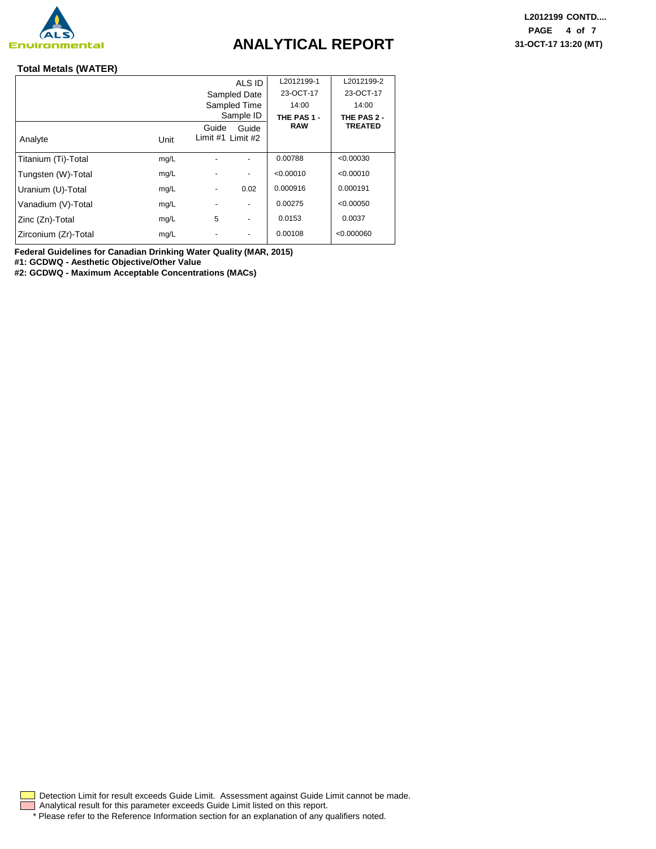

## **ANALYTICAL REPORT 31-OCT-17 13:20 (MT)**

### **Total Metals (WATER)**

|                      |      |                   | ALS ID                   | L2012199-1  | L2012199-2     |
|----------------------|------|-------------------|--------------------------|-------------|----------------|
|                      |      |                   | Sampled Date             | 23-OCT-17   | 23-OCT-17      |
|                      |      |                   | Sampled Time             | 14:00       | 14:00          |
|                      |      |                   | Sample ID                | THE PAS 1 - | THE PAS 2 -    |
|                      |      | Guide             | Guide                    | <b>RAW</b>  | <b>TREATED</b> |
| Analyte              | Unit | Limit #1 Limit #2 |                          |             |                |
| Titanium (Ti)-Total  | mg/L |                   |                          | 0.00788     | < 0.00030      |
| Tungsten (W)-Total   | mg/L |                   | $\overline{\phantom{a}}$ | < 0.00010   | < 0.00010      |
| Uranium (U)-Total    | mg/L | -                 | 0.02                     | 0.000916    | 0.000191       |
| Vanadium (V)-Total   | mg/L |                   | $\overline{\phantom{a}}$ | 0.00275     | < 0.00050      |
| Zinc (Zn)-Total      | mg/L | 5                 | $\overline{\phantom{a}}$ | 0.0153      | 0.0037         |
| Zirconium (Zr)-Total | mg/L |                   |                          | 0.00108     | < 0.000060     |

**Federal Guidelines for Canadian Drinking Water Quality (MAR, 2015)**

**#1: GCDWQ - Aesthetic Objective/Other Value**

**#2: GCDWQ - Maximum Acceptable Concentrations (MACs)**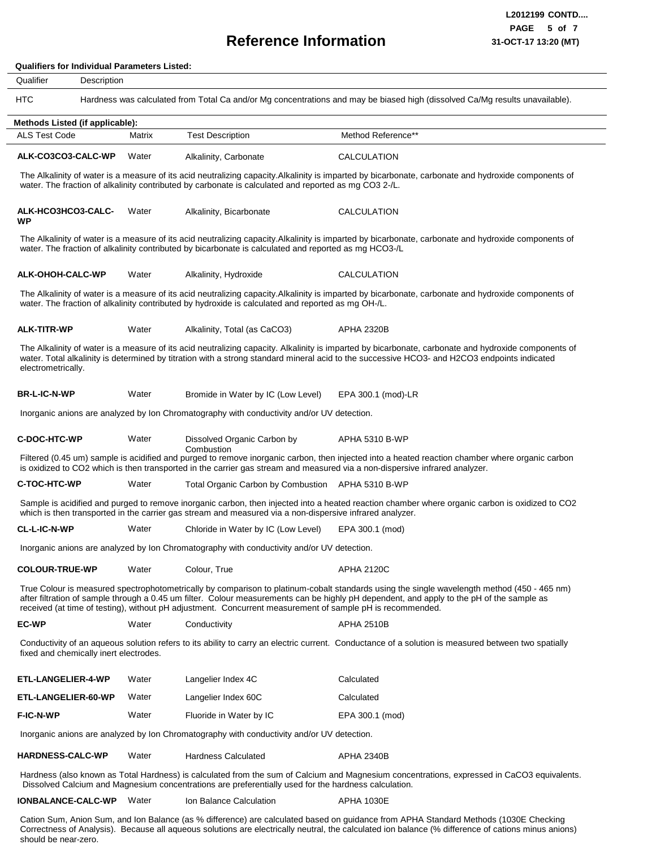## **Reference Information**

**Qualifiers for Individual Parameters Listed:**

#### HTC Hardness was calculated from Total Ca and/or Mg concentrations and may be biased high (dissolved Ca/Mg results unavailable). Qualifier Description **ALK-CO3CO3-CALC-WP ALK-HCO3HCO3-CALC-WP ALK-OHOH-CALC-WP ALK-TITR-WP BR-L-IC-N-WP C-DOC-HTC-WP C-TOC-HTC-WP CL-L-IC-N-WP COLOUR-TRUE-WP EC-WP ETL-LANGELIER-4-WP ETL-LANGELIER-60-WP F-IC-N-WP HARDNESS-CALC-WP** Alkalinity, Carbonate Alkalinity, Bicarbonate Alkalinity, Hydroxide Alkalinity, Total (as CaCO3) Bromide in Water by IC (Low Level) Dissolved Organic Carbon by **Combustion** Total Organic Carbon by Combustion APHA 5310 B-WP Chloride in Water by IC (Low Level) Colour, True **Conductivity** Langelier Index 4C Langelier Index 60C Fluoride in Water by IC Hardness Calculated **Methods Listed (if applicable):** ALS Test Code **Matrix** Test Description **Water Water Water Water Water Water Water Water Water Water Water Water Water** Water CALCULATION CALCULATION CALCULATION APHA 2320B EPA 300.1 (mod)-LR APHA 5310 B-WP EPA 300.1 (mod) APHA 2120C APHA 2510B **Calculated** Calculated EPA 300.1 (mod) APHA 2340B Method Reference\*\* The Alkalinity of water is a measure of its acid neutralizing capacity.Alkalinity is imparted by bicarbonate, carbonate and hydroxide components of water. The fraction of alkalinity contributed by carbonate is calculated and reported as mg CO3 2-/L. The Alkalinity of water is a measure of its acid neutralizing capacity.Alkalinity is imparted by bicarbonate, carbonate and hydroxide components of water. The fraction of alkalinity contributed by bicarbonate is calculated and reported as mg HCO3-/L The Alkalinity of water is a measure of its acid neutralizing capacity.Alkalinity is imparted by bicarbonate, carbonate and hydroxide components of water. The fraction of alkalinity contributed by hydroxide is calculated and reported as mg OH-/L. The Alkalinity of water is a measure of its acid neutralizing capacity. Alkalinity is imparted by bicarbonate, carbonate and hydroxide components of water. Total alkalinity is determined by titration with a strong standard mineral acid to the successive HCO3- and H2CO3 endpoints indicated electrometrically. Inorganic anions are analyzed by Ion Chromatography with conductivity and/or UV detection. Filtered (0.45 um) sample is acidified and purged to remove inorganic carbon, then injected into a heated reaction chamber where organic carbon is oxidized to CO2 which is then transported in the carrier gas stream and measured via a non-dispersive infrared analyzer. Sample is acidified and purged to remove inorganic carbon, then injected into a heated reaction chamber where organic carbon is oxidized to CO2 which is then transported in the carrier gas stream and measured via a non-dispersive infrared analyzer. Inorganic anions are analyzed by Ion Chromatography with conductivity and/or UV detection. True Colour is measured spectrophotometrically by comparison to platinum-cobalt standards using the single wavelength method (450 - 465 nm) after filtration of sample through a 0.45 um filter. Colour measurements can be highly pH dependent, and apply to the pH of the sample as received (at time of testing), without pH adjustment. Concurrent measurement of sample pH is recommended. Conductivity of an aqueous solution refers to its ability to carry an electric current. Conductance of a solution is measured between two spatially fixed and chemically inert electrodes. Inorganic anions are analyzed by Ion Chromatography with conductivity and/or UV detection. Hardness (also known as Total Hardness) is calculated from the sum of Calcium and Magnesium concentrations, expressed in CaCO3 equivalents. Dissolved Calcium and Magnesium concentrations are preferentially used for the hardness calculation.

**IONBALANCE-CALC-WP** Ion Balance Calculation Water APHA 1030E

Cation Sum, Anion Sum, and Ion Balance (as % difference) are calculated based on guidance from APHA Standard Methods (1030E Checking Correctness of Analysis). Because all aqueous solutions are electrically neutral, the calculated ion balance (% difference of cations minus anions) should be near-zero.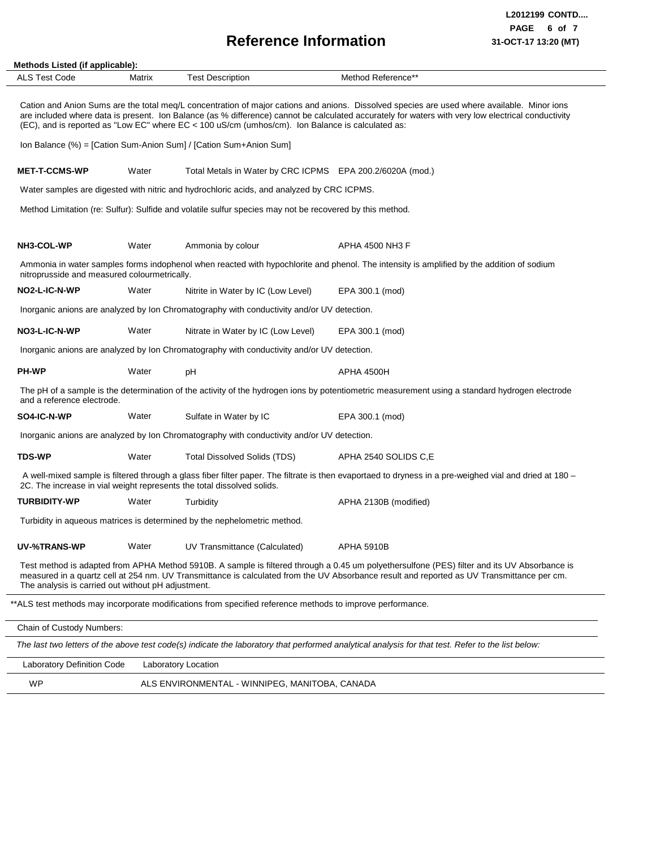## **Reference Information 31-OCT-17 13:20 (MT)**

 $\overline{\phantom{a}}$ 

| Methods Listed (if applicable):<br><b>ALS Test Code</b> | Matrix | <b>Test Description</b>                                                                                   | Method Reference**                                                                                                                                                                                                                                                                                |
|---------------------------------------------------------|--------|-----------------------------------------------------------------------------------------------------------|---------------------------------------------------------------------------------------------------------------------------------------------------------------------------------------------------------------------------------------------------------------------------------------------------|
|                                                         |        | (EC), and is reported as "Low EC" where $EC < 100$ uS/cm (umhos/cm). Ion Balance is calculated as:        | Cation and Anion Sums are the total meg/L concentration of major cations and anions. Dissolved species are used where available. Minor ions<br>are included where data is present. Ion Balance (as % difference) cannot be calculated accurately for waters with very low electrical conductivity |
|                                                         |        | Ion Balance (%) = [Cation Sum-Anion Sum] / [Cation Sum+Anion Sum]                                         |                                                                                                                                                                                                                                                                                                   |
| <b>MET-T-CCMS-WP</b>                                    | Water  | Total Metals in Water by CRC ICPMS EPA 200.2/6020A (mod.)                                                 |                                                                                                                                                                                                                                                                                                   |
|                                                         |        | Water samples are digested with nitric and hydrochloric acids, and analyzed by CRC ICPMS.                 |                                                                                                                                                                                                                                                                                                   |
|                                                         |        | Method Limitation (re: Sulfur): Sulfide and volatile sulfur species may not be recovered by this method.  |                                                                                                                                                                                                                                                                                                   |
| NH3-COL-WP                                              | Water  | Ammonia by colour                                                                                         | APHA 4500 NH3 F                                                                                                                                                                                                                                                                                   |
| nitroprusside and measured colourmetrically.            |        |                                                                                                           | Ammonia in water samples forms indophenol when reacted with hypochlorite and phenol. The intensity is amplified by the addition of sodium                                                                                                                                                         |
| NO2-L-IC-N-WP                                           | Water  | Nitrite in Water by IC (Low Level)                                                                        | EPA 300.1 (mod)                                                                                                                                                                                                                                                                                   |
|                                                         |        | Inorganic anions are analyzed by Ion Chromatography with conductivity and/or UV detection.                |                                                                                                                                                                                                                                                                                                   |
| NO3-L-IC-N-WP                                           | Water  | Nitrate in Water by IC (Low Level)                                                                        | EPA 300.1 (mod)                                                                                                                                                                                                                                                                                   |
|                                                         |        | Inorganic anions are analyzed by Ion Chromatography with conductivity and/or UV detection.                |                                                                                                                                                                                                                                                                                                   |
| <b>PH-WP</b>                                            | Water  | рH                                                                                                        | APHA 4500H                                                                                                                                                                                                                                                                                        |
| and a reference electrode.                              |        |                                                                                                           | The pH of a sample is the determination of the activity of the hydrogen ions by potentiometric measurement using a standard hydrogen electrode                                                                                                                                                    |
| SO4-IC-N-WP                                             | Water  | Sulfate in Water by IC                                                                                    | EPA 300.1 (mod)                                                                                                                                                                                                                                                                                   |
|                                                         |        | Inorganic anions are analyzed by Ion Chromatography with conductivity and/or UV detection.                |                                                                                                                                                                                                                                                                                                   |
| <b>TDS-WP</b>                                           | Water  | <b>Total Dissolved Solids (TDS)</b>                                                                       | APHA 2540 SOLIDS C,E                                                                                                                                                                                                                                                                              |
|                                                         |        | 2C. The increase in vial weight represents the total dissolved solids.                                    | A well-mixed sample is filtered through a glass fiber filter paper. The filtrate is then evaportaed to dryness in a pre-weighed vial and dried at 180 -                                                                                                                                           |
| <b>TURBIDITY-WP</b>                                     | Water  | Turbidity                                                                                                 | APHA 2130B (modified)                                                                                                                                                                                                                                                                             |
|                                                         |        | Turbidity in aqueous matrices is determined by the nephelometric method.                                  |                                                                                                                                                                                                                                                                                                   |
| UV-%TRANS-WP                                            | Water  | UV Transmittance (Calculated)                                                                             | <b>APHA 5910B</b>                                                                                                                                                                                                                                                                                 |
| The analysis is carried out without pH adjustment.      |        |                                                                                                           | Test method is adapted from APHA Method 5910B. A sample is filtered through a 0.45 um polyethersulfone (PES) filter and its UV Absorbance is<br>measured in a quartz cell at 254 nm. UV Transmittance is calculated from the UV Absorbance result and reported as UV Transmittance per cm.        |
|                                                         |        | **ALS test methods may incorporate modifications from specified reference methods to improve performance. |                                                                                                                                                                                                                                                                                                   |
| Chain of Custody Numbers:                               |        |                                                                                                           |                                                                                                                                                                                                                                                                                                   |
|                                                         |        |                                                                                                           | The last two letters of the above test code(s) indicate the laboratory that performed analytical analysis for that test. Refer to the list below:                                                                                                                                                 |
| <b>Laboratory Definition Code</b>                       |        | Laboratory Location                                                                                       |                                                                                                                                                                                                                                                                                                   |
| <b>WP</b>                                               |        | ALS ENVIRONMENTAL - WINNIPEG, MANITOBA, CANADA                                                            |                                                                                                                                                                                                                                                                                                   |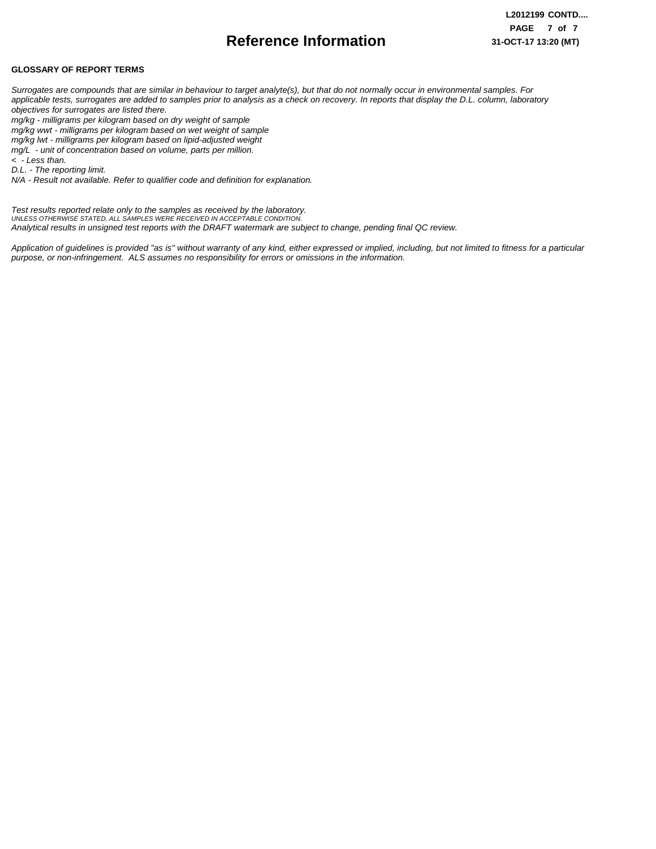## **Reference Information**

#### **GLOSSARY OF REPORT TERMS**

*Surrogates are compounds that are similar in behaviour to target analyte(s), but that do not normally occur in environmental samples. For applicable tests, surrogates are added to samples prior to analysis as a check on recovery. In reports that display the D.L. column, laboratory objectives for surrogates are listed there.*

*mg/kg - milligrams per kilogram based on dry weight of sample*

*mg/kg wwt - milligrams per kilogram based on wet weight of sample*

*mg/kg lwt - milligrams per kilogram based on lipid-adjusted weight* 

*mg/L - unit of concentration based on volume, parts per million.*

*< - Less than. D.L. - The reporting limit.*

*N/A - Result not available. Refer to qualifier code and definition for explanation.*

*Test results reported relate only to the samples as received by the laboratory. UNLESS OTHERWISE STATED, ALL SAMPLES WERE RECEIVED IN ACCEPTABLE CONDITION. Analytical results in unsigned test reports with the DRAFT watermark are subject to change, pending final QC review.*

*Application of guidelines is provided "as is" without warranty of any kind, either expressed or implied, including, but not limited to fitness for a particular purpose, or non-infringement. ALS assumes no responsibility for errors or omissions in the information.*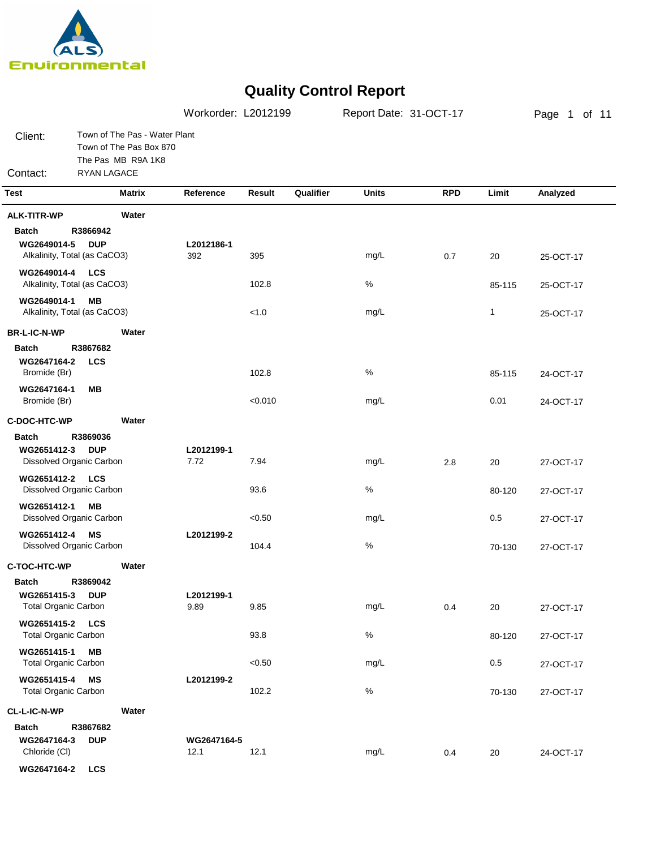

|                                                     |                                                                                               |                     | Workorder: L2012199 |           | Report Date: 31-OCT-17 |            |              | Page 1 of 11 |  |  |
|-----------------------------------------------------|-----------------------------------------------------------------------------------------------|---------------------|---------------------|-----------|------------------------|------------|--------------|--------------|--|--|
| Client:<br>Contact:                                 | Town of The Pas - Water Plant<br>Town of The Pas Box 870<br>The Pas MB R9A 1K8<br>RYAN LAGACE |                     |                     |           |                        |            |              |              |  |  |
| <b>Test</b>                                         | <b>Matrix</b>                                                                                 | Reference           | Result              | Qualifier | <b>Units</b>           | <b>RPD</b> | Limit        | Analyzed     |  |  |
|                                                     |                                                                                               |                     |                     |           |                        |            |              |              |  |  |
| <b>ALK-TITR-WP</b>                                  | Water                                                                                         |                     |                     |           |                        |            |              |              |  |  |
| <b>Batch</b><br>WG2649014-5                         | R3866942<br><b>DUP</b><br>Alkalinity, Total (as CaCO3)                                        | L2012186-1<br>392   | 395                 |           | mg/L                   | 0.7        | 20           | 25-OCT-17    |  |  |
| WG2649014-4 LCS                                     | Alkalinity, Total (as CaCO3)                                                                  |                     | 102.8               |           | $\%$                   |            | 85-115       | 25-OCT-17    |  |  |
| WG2649014-1                                         | MВ<br>Alkalinity, Total (as CaCO3)                                                            |                     | < 1.0               |           | mg/L                   |            | $\mathbf{1}$ | 25-OCT-17    |  |  |
| <b>BR-L-IC-N-WP</b>                                 | Water                                                                                         |                     |                     |           |                        |            |              |              |  |  |
| <b>Batch</b><br>WG2647164-2<br>Bromide (Br)         | R3867682<br><b>LCS</b>                                                                        |                     | 102.8               |           | %                      |            | 85-115       | 24-OCT-17    |  |  |
| WG2647164-1<br>Bromide (Br)                         | MВ                                                                                            |                     | < 0.010             |           | mg/L                   |            | 0.01         | 24-OCT-17    |  |  |
| C-DOC-HTC-WP                                        | Water                                                                                         |                     |                     |           |                        |            |              |              |  |  |
| <b>Batch</b>                                        | R3869036                                                                                      |                     |                     |           |                        |            |              |              |  |  |
| WG2651412-3                                         | <b>DUP</b><br>Dissolved Organic Carbon                                                        | L2012199-1<br>7.72  | 7.94                |           | mg/L                   | 2.8        | 20           | 27-OCT-17    |  |  |
| WG2651412-2 LCS                                     | Dissolved Organic Carbon                                                                      |                     | 93.6                |           | $\%$                   |            | 80-120       | 27-OCT-17    |  |  |
| WG2651412-1                                         | MВ<br>Dissolved Organic Carbon                                                                |                     | < 0.50              |           | mg/L                   |            | 0.5          | 27-OCT-17    |  |  |
| WG2651412-4                                         | <b>MS</b><br>Dissolved Organic Carbon                                                         | L2012199-2          | 104.4               |           | $\%$                   |            | 70-130       | 27-OCT-17    |  |  |
| C-TOC-HTC-WP                                        | Water                                                                                         |                     |                     |           |                        |            |              |              |  |  |
| Batch<br>WG2651415-3<br><b>Total Organic Carbon</b> | R3869042<br><b>DUP</b>                                                                        | L2012199-1<br>9.89  | 9.85                |           | mg/L                   | 0.4        | 20           | 27-OCT-17    |  |  |
| WG2651415-2 LCS<br><b>Total Organic Carbon</b>      |                                                                                               |                     | 93.8                |           | $\%$                   |            | 80-120       | 27-OCT-17    |  |  |
| WG2651415-1<br><b>Total Organic Carbon</b>          | <b>MB</b>                                                                                     |                     | < 0.50              |           | mg/L                   |            | $0.5\,$      | 27-OCT-17    |  |  |
| WG2651415-4<br><b>Total Organic Carbon</b>          | MS                                                                                            | L2012199-2          | 102.2               |           | $\%$                   |            | 70-130       | 27-OCT-17    |  |  |
| CL-L-IC-N-WP                                        | Water                                                                                         |                     |                     |           |                        |            |              |              |  |  |
| <b>Batch</b><br>WG2647164-3<br>Chloride (CI)        | R3867682<br><b>DUP</b>                                                                        | WG2647164-5<br>12.1 | 12.1                |           | mg/L                   | 0.4        | 20           | 24-OCT-17    |  |  |
| WG2647164-2                                         | <b>LCS</b>                                                                                    |                     |                     |           |                        |            |              |              |  |  |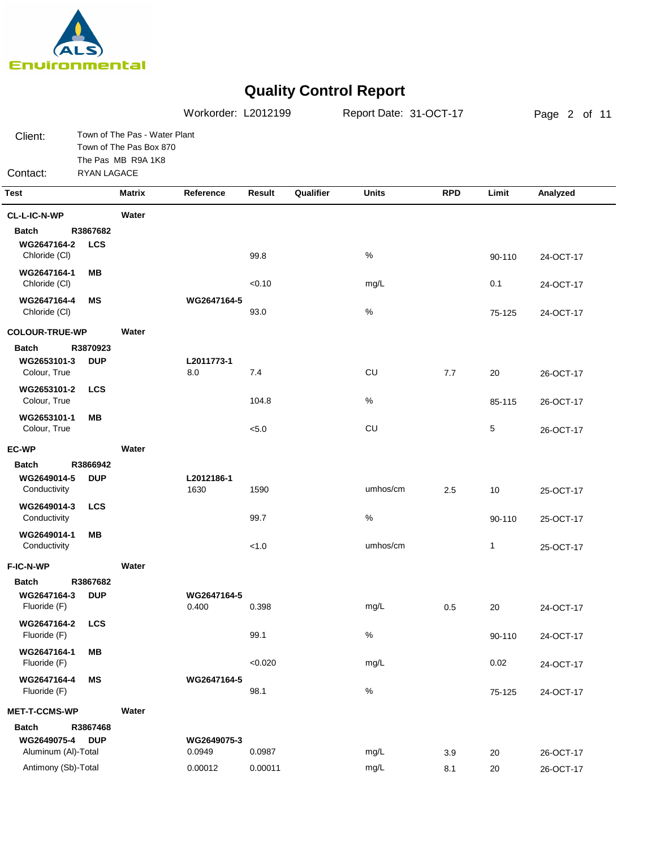

|                                              |                        |                                                                                | Workorder: L2012199   |         |           |              | Page 2 of 11 |              |           |
|----------------------------------------------|------------------------|--------------------------------------------------------------------------------|-----------------------|---------|-----------|--------------|--------------|--------------|-----------|
| Client:                                      |                        | Town of The Pas - Water Plant<br>Town of The Pas Box 870<br>The Pas MB R9A 1K8 |                       |         |           |              |              |              |           |
| Contact:                                     | RYAN LAGACE            |                                                                                |                       |         |           |              |              |              |           |
| <b>Test</b>                                  |                        | <b>Matrix</b>                                                                  | Reference             | Result  | Qualifier | <b>Units</b> | <b>RPD</b>   | Limit        | Analyzed  |
| CL-L-IC-N-WP                                 |                        | Water                                                                          |                       |         |           |              |              |              |           |
| <b>Batch</b><br>WG2647164-2<br>Chloride (CI) | R3867682<br><b>LCS</b> |                                                                                |                       | 99.8    |           | %            |              | 90-110       | 24-OCT-17 |
| WG2647164-1<br>Chloride (CI)                 | MВ                     |                                                                                |                       | < 0.10  |           | mg/L         |              | 0.1          | 24-OCT-17 |
| WG2647164-4<br>Chloride (CI)                 | ΜS                     |                                                                                | WG2647164-5           | 93.0    |           | $\%$         |              | 75-125       | 24-OCT-17 |
| <b>COLOUR-TRUE-WP</b>                        |                        | Water                                                                          |                       |         |           |              |              |              |           |
| <b>Batch</b><br>WG2653101-3<br>Colour, True  | R3870923<br><b>DUP</b> |                                                                                | L2011773-1<br>8.0     | 7.4     |           | CU           | 7.7          | 20           | 26-OCT-17 |
| WG2653101-2<br>Colour, True                  | <b>LCS</b>             |                                                                                |                       | 104.8   |           | $\%$         |              | 85-115       | 26-OCT-17 |
| WG2653101-1<br>Colour, True                  | MВ                     |                                                                                |                       | < 5.0   |           | CU           |              | 5            | 26-OCT-17 |
| <b>EC-WP</b>                                 |                        | Water                                                                          |                       |         |           |              |              |              |           |
| <b>Batch</b>                                 | R3866942               |                                                                                |                       |         |           |              |              |              |           |
| WG2649014-5<br>Conductivity                  | <b>DUP</b>             |                                                                                | L2012186-1<br>1630    | 1590    |           | umhos/cm     | 2.5          | 10           | 25-OCT-17 |
| WG2649014-3<br>Conductivity                  | <b>LCS</b>             |                                                                                |                       | 99.7    |           | $\%$         |              | 90-110       | 25-OCT-17 |
| WG2649014-1<br>Conductivity                  | MВ                     |                                                                                |                       | < 1.0   |           | umhos/cm     |              | $\mathbf{1}$ | 25-OCT-17 |
| F-IC-N-WP                                    |                        | Water                                                                          |                       |         |           |              |              |              |           |
| <b>Batch</b><br>WG2647164-3<br>Fluoride (F)  | R3867682<br><b>DUP</b> |                                                                                | WG2647164-5<br>0.400  | 0.398   |           | mg/L         | 0.5          | 20           | 24-OCT-17 |
| WG2647164-2<br>Fluoride (F)                  | <b>LCS</b>             |                                                                                |                       | 99.1    |           | $\%$         |              | 90-110       | 24-OCT-17 |
| WG2647164-1<br>Fluoride (F)                  | <b>MB</b>              |                                                                                |                       | < 0.020 |           | mg/L         |              | 0.02         | 24-OCT-17 |
| WG2647164-4<br>Fluoride (F)                  | ΜS                     |                                                                                | WG2647164-5           | 98.1    |           | $\%$         |              | 75-125       | 24-OCT-17 |
| <b>MET-T-CCMS-WP</b>                         |                        | Water                                                                          |                       |         |           |              |              |              |           |
| <b>Batch</b>                                 | R3867468               |                                                                                |                       |         |           |              |              |              |           |
| WG2649075-4<br>Aluminum (Al)-Total           | <b>DUP</b>             |                                                                                | WG2649075-3<br>0.0949 | 0.0987  |           | mg/L         | 3.9          | 20           | 26-OCT-17 |
| Antimony (Sb)-Total                          |                        |                                                                                | 0.00012               | 0.00011 |           | mg/L         | 8.1          | 20           | 26-OCT-17 |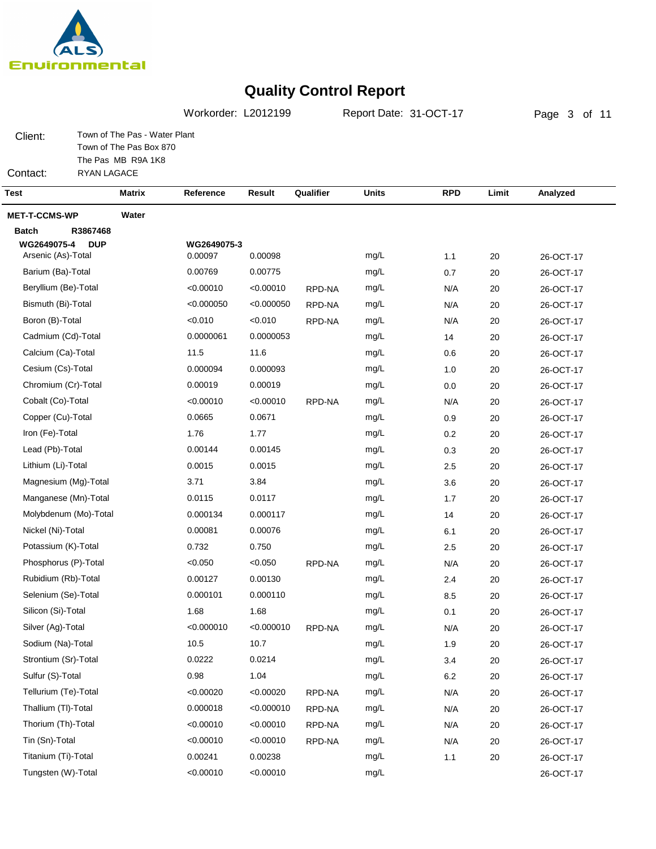

Workorder: L2012199 Report Date: 31-OCT-17

Page 3 of 11

Client: Town of The Pas - Water Plant Town of The Pas Box 870 The Pas MB R9A 1K8

Contact: RYAN LAGACE

| Test                                    | <b>Matrix</b> | Reference          | Result             | Qualifier | <b>Units</b> | <b>RPD</b> | Limit  | Analyzed  |
|-----------------------------------------|---------------|--------------------|--------------------|-----------|--------------|------------|--------|-----------|
| <b>MET-T-CCMS-WP</b>                    | Water         |                    |                    |           |              |            |        |           |
| <b>Batch</b><br>R3867468                |               |                    |                    |           |              |            |        |           |
| WG2649075-4<br><b>DUP</b>               |               | WG2649075-3        |                    |           |              |            |        |           |
| Arsenic (As)-Total<br>Barium (Ba)-Total |               | 0.00097<br>0.00769 | 0.00098<br>0.00775 |           | mg/L<br>mg/L | 1.1        | 20     | 26-OCT-17 |
| Beryllium (Be)-Total                    |               | < 0.00010          | < 0.00010          |           |              | 0.7        | 20     | 26-OCT-17 |
|                                         |               | < 0.000050         | < 0.000050         | RPD-NA    | mg/L         | N/A        | 20     | 26-OCT-17 |
| Bismuth (Bi)-Total                      |               |                    | < 0.010            | RPD-NA    | mg/L         | N/A        | 20     | 26-OCT-17 |
| Boron (B)-Total                         |               | < 0.010            |                    | RPD-NA    | mg/L         | N/A        | 20     | 26-OCT-17 |
| Cadmium (Cd)-Total                      |               | 0.0000061          | 0.0000053          |           | mg/L         | 14         | 20     | 26-OCT-17 |
| Calcium (Ca)-Total                      |               | 11.5               | 11.6               |           | mg/L         | 0.6        | 20     | 26-OCT-17 |
| Cesium (Cs)-Total                       |               | 0.000094           | 0.000093           |           | mg/L         | 1.0        | 20     | 26-OCT-17 |
| Chromium (Cr)-Total                     |               | 0.00019            | 0.00019            |           | mg/L         | 0.0        | 20     | 26-OCT-17 |
| Cobalt (Co)-Total                       |               | < 0.00010          | < 0.00010          | RPD-NA    | mg/L         | N/A        | 20     | 26-OCT-17 |
| Copper (Cu)-Total                       |               | 0.0665             | 0.0671             |           | mg/L         | 0.9        | 20     | 26-OCT-17 |
| Iron (Fe)-Total                         |               | 1.76               | 1.77               |           | mg/L         | 0.2        | 20     | 26-OCT-17 |
| Lead (Pb)-Total                         |               | 0.00144            | 0.00145            |           | mg/L         | 0.3        | 20     | 26-OCT-17 |
| Lithium (Li)-Total                      |               | 0.0015             | 0.0015             |           | mg/L         | 2.5        | 20     | 26-OCT-17 |
| Magnesium (Mg)-Total                    |               | 3.71               | 3.84               |           | mg/L         | 3.6        | 20     | 26-OCT-17 |
| Manganese (Mn)-Total                    |               | 0.0115             | 0.0117             |           | mg/L         | 1.7        | 20     | 26-OCT-17 |
| Molybdenum (Mo)-Total                   |               | 0.000134           | 0.000117           |           | mg/L         | 14         | 20     | 26-OCT-17 |
| Nickel (Ni)-Total                       |               | 0.00081            | 0.00076            |           | mg/L         | 6.1        | 20     | 26-OCT-17 |
| Potassium (K)-Total                     |               | 0.732              | 0.750              |           | mg/L         | 2.5        | 20     | 26-OCT-17 |
| Phosphorus (P)-Total                    |               | < 0.050            | < 0.050            | RPD-NA    | mg/L         | N/A        | 20     | 26-OCT-17 |
| Rubidium (Rb)-Total                     |               | 0.00127            | 0.00130            |           | mg/L         | 2.4        | 20     | 26-OCT-17 |
| Selenium (Se)-Total                     |               | 0.000101           | 0.000110           |           | mg/L         | 8.5        | 20     | 26-OCT-17 |
| Silicon (Si)-Total                      |               | 1.68               | 1.68               |           | mg/L         | 0.1        | 20     | 26-OCT-17 |
| Silver (Ag)-Total                       |               | < 0.000010         | < 0.000010         | RPD-NA    | mg/L         | N/A        | 20     | 26-OCT-17 |
| Sodium (Na)-Total                       |               | 10.5               | 10.7               |           | mg/L         | 1.9        | 20     | 26-OCT-17 |
| Strontium (Sr)-Total                    |               | 0.0222             | 0.0214             |           | mg/L         | 3.4        | 20     | 26-OCT-17 |
| Sulfur (S)-Total                        |               | 0.98               | 1.04               |           | mg/L         | $6.2\,$    | 20     | 26-OCT-17 |
| Tellurium (Te)-Total                    |               | < 0.00020          | < 0.00020          | RPD-NA    | mg/L         | N/A        | 20     | 26-OCT-17 |
| Thallium (TI)-Total                     |               | 0.000018           | < 0.000010         | RPD-NA    | mg/L         | N/A        | 20     | 26-OCT-17 |
| Thorium (Th)-Total                      |               | < 0.00010          | < 0.00010          | RPD-NA    | mg/L         | N/A        | 20     | 26-OCT-17 |
| Tin (Sn)-Total                          |               | < 0.00010          | < 0.00010          | RPD-NA    | mg/L         | N/A        | 20     | 26-OCT-17 |
| Titanium (Ti)-Total                     |               | 0.00241            | 0.00238            |           | mg/L         | 1.1        | $20\,$ | 26-OCT-17 |
| Tungsten (W)-Total                      |               | < 0.00010          | < 0.00010          |           | mg/L         |            |        | 26-OCT-17 |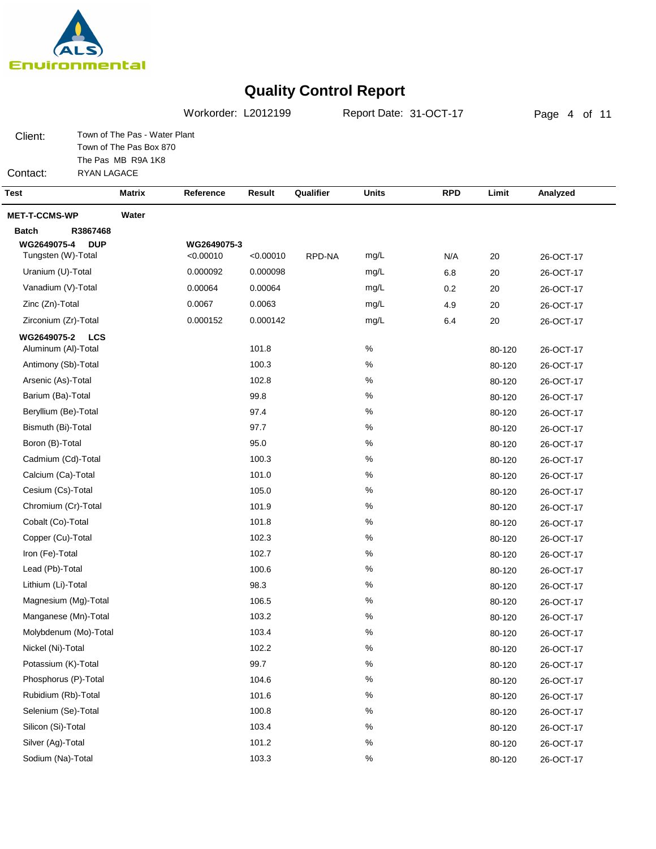

Page 4 of 11Client: Contact: Town of The Pas - Water Plant Town of The Pas Box 870 The Pas MB R9A 1K8 RYAN LAGACE Workorder: L2012199 Report Date: 31-OCT-17 **Test Matrix Reference Result Qualifier Units RPD Limit Analyzed MET-T-CCMS-WP Water Batch R3867468 DUP LCS WG2649075-2 WG2649075-4 WG2649075-3** Tungsten (W)-Total Uranium (U)-Total Vanadium (V)-Total Zinc (Zn)-Total Zirconium (Zr)-Total Aluminum (Al)-Total Antimony (Sb)-Total Arsenic (As)-Total Barium (Ba)-Total Beryllium (Be)-Total Bismuth (Bi)-Total Boron (B)-Total Cadmium (Cd)-Total Calcium (Ca)-Total Cesium (Cs)-Total Chromium (Cr)-Total Cobalt (Co)-Total Copper (Cu)-Total Iron (Fe)-Total Lead (Pb)-Total Lithium (Li)-Total Magnesium (Mg)-Total Manganese (Mn)-Total Molybdenum (Mo)-Total Nickel (Ni)-Total Potassium (K)-Total Phosphorus (P)-Total Rubidium (Rb)-Total Selenium (Se)-Total Silicon (Si)-Total Silver (Ag)-Total Sodium (Na)-Total <0.00010 0.000098 0.00064 0.0063 0.000142 101.8 100.3 102.8 99.8 97.4 97.7 95.0 100.3 101.0 105.0 101.9 101.8 102.3 102.7 100.6 98.3 106.5 103.2 103.4 102.2 99.7 104.6 101.6 100.8 103.4 101.2 103.3 26-OCT-17 26-OCT-17 26-OCT-17 26-OCT-17 26-OCT-17 26-OCT-17 26-OCT-17 26-OCT-17 26-OCT-17 26-OCT-17 26-OCT-17 26-OCT-17 26-OCT-17 26-OCT-17 26-OCT-17 26-OCT-17 26-OCT-17 26-OCT-17 26-OCT-17 26-OCT-17 26-OCT-17 26-OCT-17 26-OCT-17 26-OCT-17 26-OCT-17 26-OCT-17 26-OCT-17 26-OCT-17 26-OCT-17 26-OCT-17 26-OCT-17 26-OCT-17 N/A 6.8 0.2 4.9 6.4 20 20 20 20 20 80-120 80-120 80-120 80-120 80-120 80-120 80-120 80-120 80-120 80-120 80-120 80-120 80-120 80-120 80-120 80-120 80-120 80-120 80-120 80-120 80-120 80-120 80-120 80-120 80-120 80-120 80-120 mg/L mg/L mg/L mg/L mg/L % % % % % % % % % % % % % % % % % % % %  $\frac{0}{6}$ % % % % % % <0.00010 0.000092 0.00064 0.0067 0.000152 RPD-NA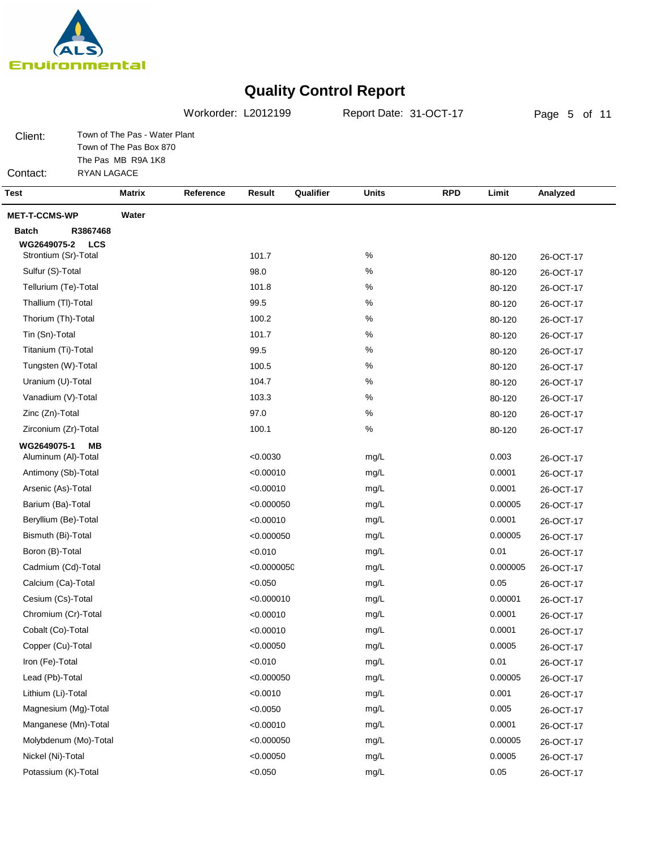

Workorder: L2012199 Report Date: 31-OCT-17

Page 5 of 11

Client: Town of The Pas - Water Plant Town of The Pas Box 870 The Pas MB R9A 1K8

Contact: RYAN LAGACE

| <b>Test</b>               | <b>Matrix</b> | Reference | Result      | Qualifier | <b>Units</b> | <b>RPD</b> | Limit    | Analyzed  |
|---------------------------|---------------|-----------|-------------|-----------|--------------|------------|----------|-----------|
| <b>MET-T-CCMS-WP</b>      | Water         |           |             |           |              |            |          |           |
| <b>Batch</b><br>R3867468  |               |           |             |           |              |            |          |           |
| WG2649075-2<br><b>LCS</b> |               |           |             |           |              |            |          |           |
| Strontium (Sr)-Total      |               |           | 101.7       |           | $\%$         |            | 80-120   | 26-OCT-17 |
| Sulfur (S)-Total          |               |           | 98.0        |           | $\%$         |            | 80-120   | 26-OCT-17 |
| Tellurium (Te)-Total      |               |           | 101.8       |           | $\%$         |            | 80-120   | 26-OCT-17 |
| Thallium (TI)-Total       |               |           | 99.5        |           | $\%$         |            | 80-120   | 26-OCT-17 |
| Thorium (Th)-Total        |               |           | 100.2       |           | $\%$         |            | 80-120   | 26-OCT-17 |
| Tin (Sn)-Total            |               |           | 101.7       |           | $\%$         |            | 80-120   | 26-OCT-17 |
| Titanium (Ti)-Total       |               |           | 99.5        |           | $\%$         |            | 80-120   | 26-OCT-17 |
| Tungsten (W)-Total        |               |           | 100.5       |           | $\%$         |            | 80-120   | 26-OCT-17 |
| Uranium (U)-Total         |               |           | 104.7       |           | $\%$         |            | 80-120   | 26-OCT-17 |
| Vanadium (V)-Total        |               |           | 103.3       |           | $\%$         |            | 80-120   | 26-OCT-17 |
| Zinc (Zn)-Total           |               |           | 97.0        |           | %            |            | 80-120   | 26-OCT-17 |
| Zirconium (Zr)-Total      |               |           | 100.1       |           | $\%$         |            | 80-120   | 26-OCT-17 |
| WG2649075-1<br>MВ         |               |           |             |           |              |            |          |           |
| Aluminum (Al)-Total       |               |           | < 0.0030    |           | mg/L         |            | 0.003    | 26-OCT-17 |
| Antimony (Sb)-Total       |               |           | < 0.00010   |           | mg/L         |            | 0.0001   | 26-OCT-17 |
| Arsenic (As)-Total        |               |           | < 0.00010   |           | mg/L         |            | 0.0001   | 26-OCT-17 |
| Barium (Ba)-Total         |               |           | < 0.000050  |           | mg/L         |            | 0.00005  | 26-OCT-17 |
| Beryllium (Be)-Total      |               |           | < 0.00010   |           | mg/L         |            | 0.0001   | 26-OCT-17 |
| Bismuth (Bi)-Total        |               |           | < 0.000050  |           | mg/L         |            | 0.00005  | 26-OCT-17 |
| Boron (B)-Total           |               |           | < 0.010     |           | mg/L         |            | 0.01     | 26-OCT-17 |
| Cadmium (Cd)-Total        |               |           | < 0.000005C |           | mg/L         |            | 0.000005 | 26-OCT-17 |
| Calcium (Ca)-Total        |               |           | < 0.050     |           | mg/L         |            | 0.05     | 26-OCT-17 |
| Cesium (Cs)-Total         |               |           | < 0.000010  |           | mg/L         |            | 0.00001  | 26-OCT-17 |
| Chromium (Cr)-Total       |               |           | < 0.00010   |           | mg/L         |            | 0.0001   | 26-OCT-17 |
| Cobalt (Co)-Total         |               |           | < 0.00010   |           | mg/L         |            | 0.0001   | 26-OCT-17 |
| Copper (Cu)-Total         |               |           | < 0.00050   |           | mg/L         |            | 0.0005   | 26-OCT-17 |
| Iron (Fe)-Total           |               |           | < 0.010     |           | mg/L         |            | 0.01     | 26-OCT-17 |
| Lead (Pb)-Total           |               |           | < 0.000050  |           | mg/L         |            | 0.00005  | 26-OCT-17 |
| Lithium (Li)-Total        |               |           | < 0.0010    |           | mg/L         |            | 0.001    | 26-OCT-17 |
| Magnesium (Mg)-Total      |               |           | < 0.0050    |           | mg/L         |            | 0.005    | 26-OCT-17 |
| Manganese (Mn)-Total      |               |           | < 0.00010   |           | mg/L         |            | 0.0001   | 26-OCT-17 |
| Molybdenum (Mo)-Total     |               |           | < 0.000050  |           | mg/L         |            | 0.00005  | 26-OCT-17 |
| Nickel (Ni)-Total         |               |           | < 0.00050   |           | mg/L         |            | 0.0005   | 26-OCT-17 |
| Potassium (K)-Total       |               |           | < 0.050     |           | mg/L         |            | 0.05     | 26-OCT-17 |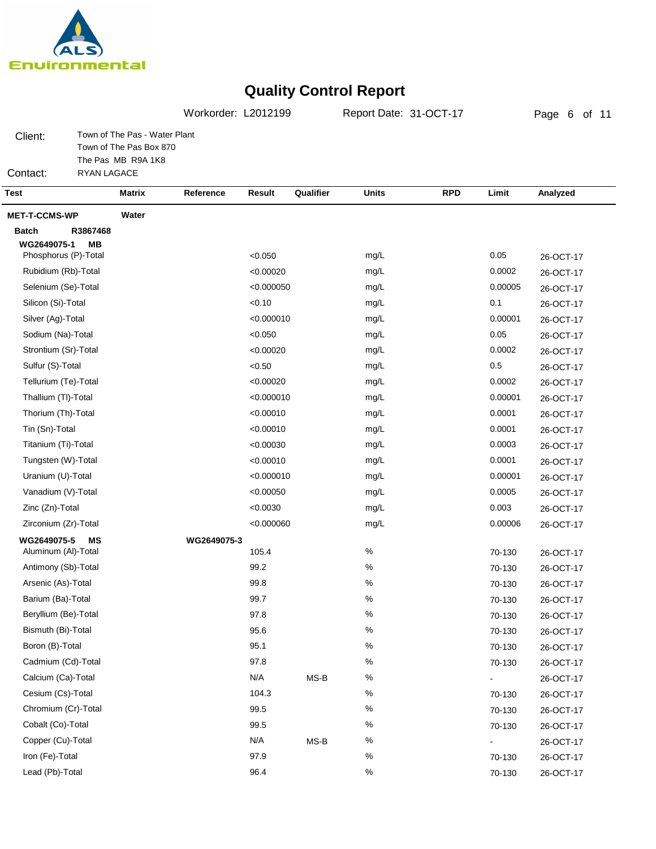

Copper (Cu)-Total Iron (Fe)-Total Lead (Pb)-Total

## **Quality Control Report**

Page 6 of 11Client: Contact: Town of The Pas - Water Plant Town of The Pas Box 870 The Pas MB R9A 1K8 RYAN LAGACE Workorder: L2012199 Report Date: 31-OCT-17 **Test Matrix Reference Result Qualifier Units RPD Limit Analyzed MET-T-CCMS-WP Water Batch R3867468 MB MS WG2649075-1 WG2649075-5 WG2649075-3** Phosphorus (P)-Total Rubidium (Rb)-Total Selenium (Se)-Total Silicon (Si)-Total Silver (Ag)-Total Sodium (Na)-Total Strontium (Sr)-Total Sulfur (S)-Total Tellurium (Te)-Total Thallium (Tl)-Total Thorium (Th)-Total Tin (Sn)-Total Titanium (Ti)-Total Tungsten (W)-Total Uranium (U)-Total Vanadium (V)-Total Zinc (Zn)-Total Zirconium (Zr)-Total Aluminum (Al)-Total Antimony (Sb)-Total Arsenic (As)-Total Barium (Ba)-Total Beryllium (Be)-Total Bismuth (Bi)-Total Boron (B)-Total Cadmium (Cd)-Total Calcium (Ca)-Total Cesium (Cs)-Total Chromium (Cr)-Total Cobalt (Co)-Total  $< 0.050$ <0.00020 <0.000050  $< 0.10$ <0.000010 <0.050 <0.00020  $< 0.50$ <0.00020 <0.000010 <0.00010 <0.00010 <0.00030 <0.00010 <0.000010 <0.00050 <0.0030 <0.000060 105.4 99.2 99.8 99.7 97.8 95.6 95.1 97.8 N/A 104.3 99.5 99.5 26-OCT-17 26-OCT-17 26-OCT-17 26-OCT-17 26-OCT-17 26-OCT-17 26-OCT-17 26-OCT-17 26-OCT-17 26-OCT-17 26-OCT-17 26-OCT-17 26-OCT-17 26-OCT-17 26-OCT-17 26-OCT-17 26-OCT-17 26-OCT-17 26-OCT-17 26-OCT-17 26-OCT-17 26-OCT-17 26-OCT-17 26-OCT-17 26-OCT-17 26-OCT-17 26-OCT-17 26-OCT-17 26-OCT-17 26-OCT-17 70-130 70-130 70-130 70-130 70-130 70-130 70-130 70-130 - 70-130 70-130 mg/L mg/L mg/L mg/L mg/L mg/L mg/L mg/L mg/L mg/L mg/L mg/L mg/L mg/L mg/L mg/L mg/L mg/L % % % % % % % % % % % % MS-B 0.05 0.0002 0.00005 0.1 0.00001 0.05 0.0002 0.5 0.0002 0.00001 0.0001 0.0001 0.0003 0.0001 0.00001 0.0005 0.003 0.00006

> N/A 97.9 96.4

% % %

MS-B

26-OCT-17 26-OCT-17 26-OCT-17

70-130 - 70-130 70-130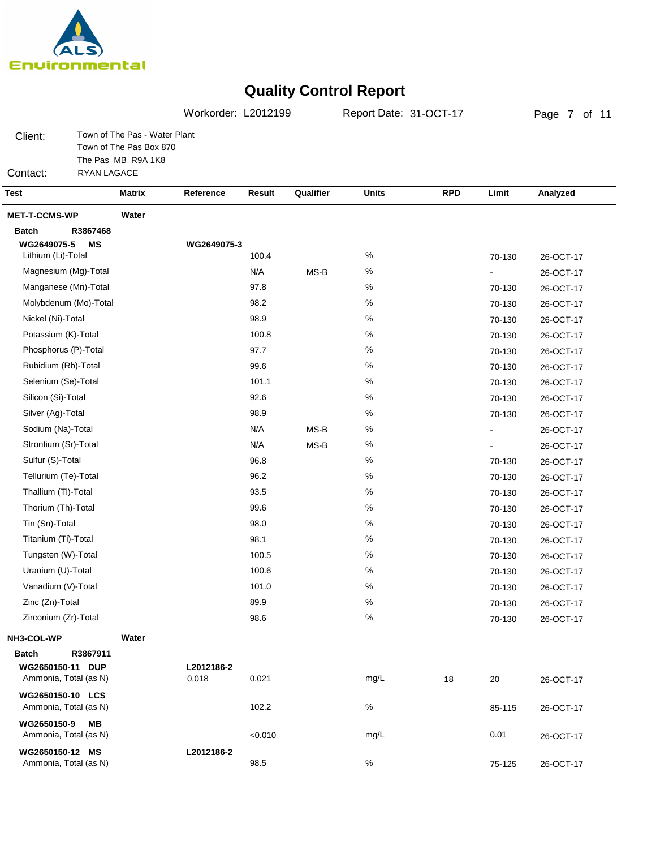

Page 7 of 11Town of The Pas - Water Plant Workorder: L2012199 Report Date: 31-OCT-17

Client: Town of The Pas Box 870 The Pas MB R9A 1K8 RYAN LAGACE

Contact:

| <b>Test</b>                                       | <b>Matrix</b> | Reference           | Result  | Qualifier | <b>Units</b> | <b>RPD</b> | Limit  | Analyzed  |
|---------------------------------------------------|---------------|---------------------|---------|-----------|--------------|------------|--------|-----------|
| <b>MET-T-CCMS-WP</b>                              | Water         |                     |         |           |              |            |        |           |
| <b>Batch</b><br>R3867468                          |               |                     |         |           |              |            |        |           |
| WG2649075-5<br><b>MS</b>                          |               | WG2649075-3         |         |           |              |            |        |           |
| Lithium (Li)-Total                                |               |                     | 100.4   |           | %            |            | 70-130 | 26-OCT-17 |
| Magnesium (Mg)-Total                              |               |                     | N/A     | MS-B      | $\%$         |            |        | 26-OCT-17 |
| Manganese (Mn)-Total                              |               |                     | 97.8    |           | $\%$         |            | 70-130 | 26-OCT-17 |
| Molybdenum (Mo)-Total                             |               |                     | 98.2    |           | $\%$         |            | 70-130 | 26-OCT-17 |
| Nickel (Ni)-Total                                 |               |                     | 98.9    |           | $\%$         |            | 70-130 | 26-OCT-17 |
| Potassium (K)-Total                               |               |                     | 100.8   |           | %            |            | 70-130 | 26-OCT-17 |
| Phosphorus (P)-Total                              |               |                     | 97.7    |           | %            |            | 70-130 | 26-OCT-17 |
| Rubidium (Rb)-Total                               |               |                     | 99.6    |           | %            |            | 70-130 | 26-OCT-17 |
| Selenium (Se)-Total                               |               |                     | 101.1   |           | $\%$         |            | 70-130 | 26-OCT-17 |
| Silicon (Si)-Total                                |               |                     | 92.6    |           | %            |            | 70-130 | 26-OCT-17 |
| Silver (Ag)-Total                                 |               |                     | 98.9    |           | %            |            | 70-130 | 26-OCT-17 |
| Sodium (Na)-Total                                 |               |                     | N/A     | MS-B      | $\%$         |            |        | 26-OCT-17 |
| Strontium (Sr)-Total                              |               |                     | N/A     | MS-B      | $\%$         |            |        | 26-OCT-17 |
| Sulfur (S)-Total                                  |               |                     | 96.8    |           | $\%$         |            | 70-130 | 26-OCT-17 |
| Tellurium (Te)-Total                              |               |                     | 96.2    |           | $\%$         |            | 70-130 | 26-OCT-17 |
| Thallium (TI)-Total                               |               |                     | 93.5    |           | %            |            | 70-130 | 26-OCT-17 |
| Thorium (Th)-Total                                |               |                     | 99.6    |           | $\%$         |            | 70-130 | 26-OCT-17 |
| Tin (Sn)-Total                                    |               |                     | 98.0    |           | $\%$         |            | 70-130 | 26-OCT-17 |
| Titanium (Ti)-Total                               |               |                     | 98.1    |           | $\%$         |            | 70-130 | 26-OCT-17 |
| Tungsten (W)-Total                                |               |                     | 100.5   |           | %            |            | 70-130 | 26-OCT-17 |
| Uranium (U)-Total                                 |               |                     | 100.6   |           | %            |            | 70-130 | 26-OCT-17 |
| Vanadium (V)-Total                                |               |                     | 101.0   |           | %            |            | 70-130 | 26-OCT-17 |
| Zinc (Zn)-Total                                   |               |                     | 89.9    |           | $\%$         |            | 70-130 | 26-OCT-17 |
| Zirconium (Zr)-Total                              |               |                     | 98.6    |           | $\%$         |            | 70-130 | 26-OCT-17 |
| NH3-COL-WP                                        | Water         |                     |         |           |              |            |        |           |
| R3867911<br><b>Batch</b>                          |               |                     |         |           |              |            |        |           |
| WG2650150-11 DUP<br>Ammonia, Total (as N)         |               | L2012186-2<br>0.018 | 0.021   |           | mg/L         |            |        |           |
|                                                   |               |                     |         |           |              | 18         | 20     | 26-OCT-17 |
| WG2650150-10 LCS<br>Ammonia, Total (as N)         |               |                     | 102.2   |           | $\%$         |            | 85-115 | 26-OCT-17 |
| WG2650150-9<br><b>MB</b><br>Ammonia, Total (as N) |               |                     | < 0.010 |           | mg/L         |            | 0.01   | 26-OCT-17 |
| WG2650150-12 MS<br>Ammonia, Total (as N)          |               | L2012186-2          | 98.5    |           | $\%$         |            | 75-125 | 26-OCT-17 |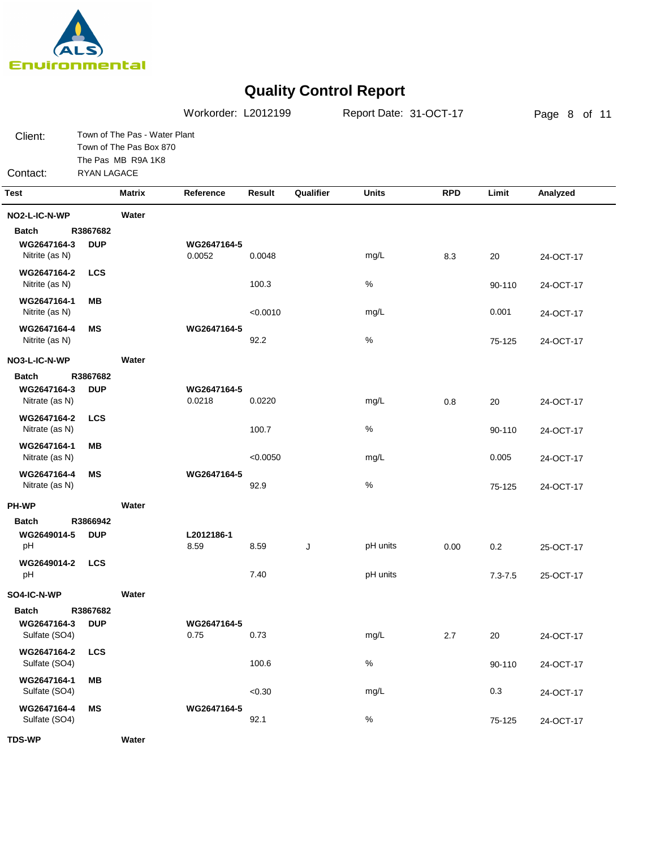

|                               |             |                                                                                | Workorder: L2012199   |          |           | Report Date: 31-OCT-17 |            |             | Page 8 of 11 |  |
|-------------------------------|-------------|--------------------------------------------------------------------------------|-----------------------|----------|-----------|------------------------|------------|-------------|--------------|--|
| Client:<br>Contact:           | RYAN LAGACE | Town of The Pas - Water Plant<br>Town of The Pas Box 870<br>The Pas MB R9A 1K8 |                       |          |           |                        |            |             |              |  |
| <b>Test</b>                   |             | <b>Matrix</b>                                                                  | Reference             | Result   | Qualifier | <b>Units</b>           | <b>RPD</b> | Limit       | Analyzed     |  |
| NO2-L-IC-N-WP                 |             | Water                                                                          |                       |          |           |                        |            |             |              |  |
| <b>Batch</b>                  | R3867682    |                                                                                |                       |          |           |                        |            |             |              |  |
| WG2647164-3<br>Nitrite (as N) | <b>DUP</b>  |                                                                                | WG2647164-5<br>0.0052 | 0.0048   |           | mg/L                   | 8.3        | 20          | 24-OCT-17    |  |
| WG2647164-2<br>Nitrite (as N) | <b>LCS</b>  |                                                                                |                       | 100.3    |           | $\%$                   |            | 90-110      | 24-OCT-17    |  |
| WG2647164-1<br>Nitrite (as N) | MВ          |                                                                                |                       | < 0.0010 |           | mg/L                   |            | 0.001       | 24-OCT-17    |  |
| WG2647164-4<br>Nitrite (as N) | ΜS          |                                                                                | WG2647164-5           | 92.2     |           | $\%$                   |            | 75-125      | 24-OCT-17    |  |
| NO3-L-IC-N-WP                 |             | Water                                                                          |                       |          |           |                        |            |             |              |  |
| <b>Batch</b>                  | R3867682    |                                                                                |                       |          |           |                        |            |             |              |  |
| WG2647164-3<br>Nitrate (as N) | <b>DUP</b>  |                                                                                | WG2647164-5<br>0.0218 | 0.0220   |           | mg/L                   | 0.8        | 20          | 24-OCT-17    |  |
| WG2647164-2<br>Nitrate (as N) | <b>LCS</b>  |                                                                                |                       | 100.7    |           | $\%$                   |            | 90-110      | 24-OCT-17    |  |
| WG2647164-1<br>Nitrate (as N) | MВ          |                                                                                |                       | < 0.0050 |           | mg/L                   |            | 0.005       | 24-OCT-17    |  |
| WG2647164-4<br>Nitrate (as N) | ΜS          |                                                                                | WG2647164-5           | 92.9     |           | $\%$                   |            | 75-125      | 24-OCT-17    |  |
| <b>PH-WP</b>                  |             | Water                                                                          |                       |          |           |                        |            |             |              |  |
| <b>Batch</b>                  | R3866942    |                                                                                |                       |          |           |                        |            |             |              |  |
| WG2649014-5<br>pH             | <b>DUP</b>  |                                                                                | L2012186-1<br>8.59    | 8.59     | J         | pH units               | 0.00       | 0.2         | 25-OCT-17    |  |
| WG2649014-2<br>pH             | <b>LCS</b>  |                                                                                |                       | 7.40     |           | pH units               |            | $7.3 - 7.5$ | 25-OCT-17    |  |
| SO4-IC-N-WP                   |             | Water                                                                          |                       |          |           |                        |            |             |              |  |
| <b>Batch</b>                  | R3867682    |                                                                                |                       |          |           |                        |            |             |              |  |
| WG2647164-3<br>Sulfate (SO4)  | <b>DUP</b>  |                                                                                | WG2647164-5<br>0.75   | 0.73     |           | mg/L                   | 2.7        | 20          | 24-OCT-17    |  |
| WG2647164-2<br>Sulfate (SO4)  | <b>LCS</b>  |                                                                                |                       | 100.6    |           | $\%$                   |            | 90-110      | 24-OCT-17    |  |
| WG2647164-1<br>Sulfate (SO4)  | MВ          |                                                                                |                       | < 0.30   |           | mg/L                   |            | 0.3         | 24-OCT-17    |  |
| WG2647164-4<br>Sulfate (SO4)  | MS          |                                                                                | WG2647164-5           | 92.1     |           | $\%$                   |            | 75-125      | 24-OCT-17    |  |
| <b>TDS-WP</b>                 |             | Water                                                                          |                       |          |           |                        |            |             |              |  |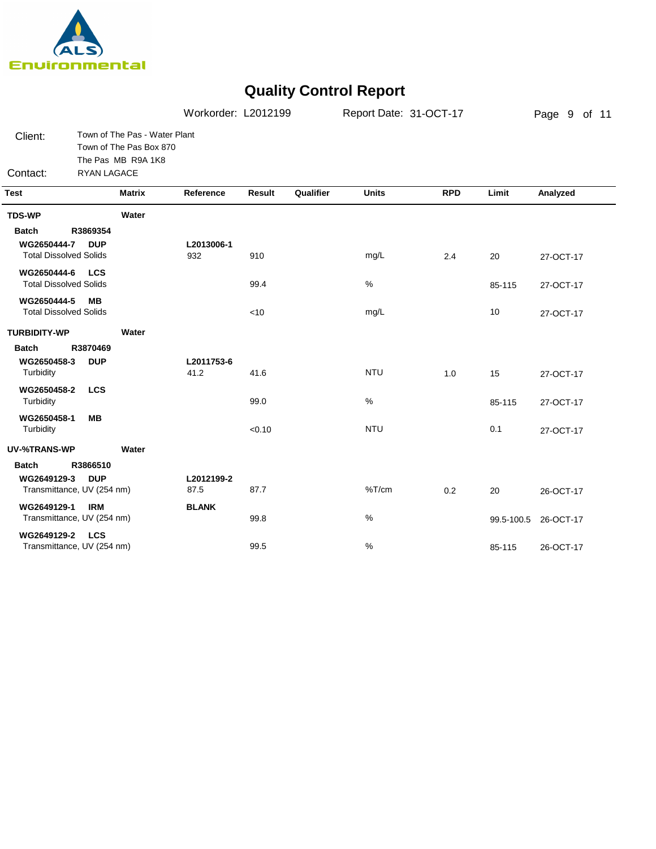

|                                                                                                                                                                                                                          |                                                                                               | Workorder: L2012199                     |                            |           | Report Date: 31-OCT-17             |            |                          | Page 9 of 11                                     |
|--------------------------------------------------------------------------------------------------------------------------------------------------------------------------------------------------------------------------|-----------------------------------------------------------------------------------------------|-----------------------------------------|----------------------------|-----------|------------------------------------|------------|--------------------------|--------------------------------------------------|
| Client:<br>Contact:                                                                                                                                                                                                      | Town of The Pas - Water Plant<br>Town of The Pas Box 870<br>The Pas MB R9A 1K8<br>RYAN LAGACE |                                         |                            |           |                                    |            |                          |                                                  |
| <b>Test</b>                                                                                                                                                                                                              | <b>Matrix</b>                                                                                 | Reference                               | Result                     | Qualifier | <b>Units</b>                       | <b>RPD</b> | Limit                    | Analyzed                                         |
| <b>TDS-WP</b>                                                                                                                                                                                                            | Water                                                                                         |                                         |                            |           |                                    |            |                          |                                                  |
| <b>Batch</b><br>WG2650444-7<br><b>Total Dissolved Solids</b><br>WG2650444-6<br><b>Total Dissolved Solids</b><br>WG2650444-5<br><b>Total Dissolved Solids</b><br><b>TURBIDITY-WP</b><br>Batch<br>WG2650458-3<br>Turbidity | R3869354<br><b>DUP</b><br><b>LCS</b><br>MВ<br>Water<br>R3870469<br><b>DUP</b>                 | L2013006-1<br>932<br>L2011753-6<br>41.2 | 910<br>99.4<br><10<br>41.6 |           | mg/L<br>$\%$<br>mg/L<br><b>NTU</b> | 2.4<br>1.0 | 20<br>85-115<br>10<br>15 | 27-OCT-17<br>27-OCT-17<br>27-OCT-17<br>27-OCT-17 |
| WG2650458-2<br>Turbidity<br>WG2650458-1                                                                                                                                                                                  | <b>LCS</b><br><b>MB</b>                                                                       |                                         | 99.0                       |           | $\%$                               |            | 85-115                   | 27-OCT-17                                        |
| Turbidity                                                                                                                                                                                                                |                                                                                               |                                         | < 0.10                     |           | <b>NTU</b>                         |            | 0.1                      | 27-OCT-17                                        |
| <b>UV-%TRANS-WP</b><br><b>Batch</b><br>WG2649129-3                                                                                                                                                                       | Water<br>R3866510<br><b>DUP</b>                                                               | L2012199-2                              |                            |           |                                    |            |                          |                                                  |
|                                                                                                                                                                                                                          | Transmittance, UV (254 nm)                                                                    | 87.5                                    | 87.7                       |           | %T/cm                              | 0.2        | 20                       | 26-OCT-17                                        |
| WG2649129-1                                                                                                                                                                                                              | <b>IRM</b><br>Transmittance, UV (254 nm)                                                      | <b>BLANK</b>                            | 99.8                       |           | %                                  |            | 99.5-100.5               | 26-OCT-17                                        |
| WG2649129-2                                                                                                                                                                                                              | <b>LCS</b><br>Transmittance, UV (254 nm)                                                      |                                         | 99.5                       |           | %                                  |            | 85-115                   | 26-OCT-17                                        |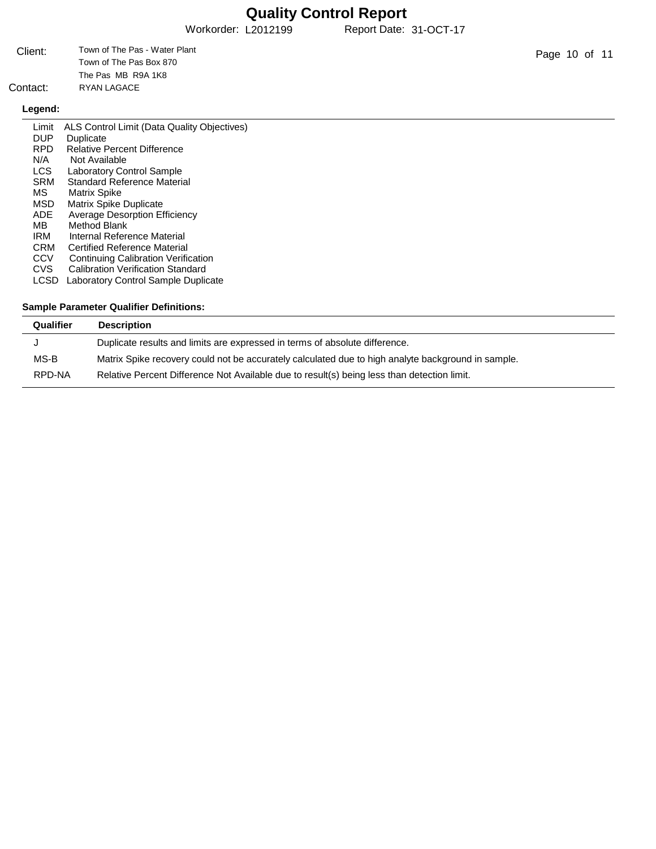Workorder: L2012199 Report Date: 31-OCT-17

| Client: | Town of The Pas - Water Plant |
|---------|-------------------------------|
|         | Town of The Pas Box 870       |
|         | The Pas MB R9A 1K8            |
| ontact: | RYAN LAGACE                   |

## Contact:

## **Legend:**

| Limit      | ALS Control Limit (Data Quality Objectives) |
|------------|---------------------------------------------|
| <b>DUP</b> | Duplicate                                   |
| <b>RPD</b> | <b>Relative Percent Difference</b>          |
| N/A        | Not Available                               |
| LCS.       | <b>Laboratory Control Sample</b>            |
| <b>SRM</b> | Standard Reference Material                 |
| MS.        | <b>Matrix Spike</b>                         |
| MSD        | <b>Matrix Spike Duplicate</b>               |
| ADE.       | <b>Average Desorption Efficiency</b>        |
| MB.        | Method Blank                                |
| IRM        | Internal Reference Material                 |
| <b>CRM</b> | Certified Reference Material                |
| CCV        | Continuing Calibration Verification         |
| CVS        | <b>Calibration Verification Standard</b>    |
| LCSD       | Laboratory Control Sample Duplicate         |
|            |                                             |
|            |                                             |

## **Sample Parameter Qualifier Definitions:**

| Qualifier | <b>Description</b>                                                                                 |
|-----------|----------------------------------------------------------------------------------------------------|
|           | Duplicate results and limits are expressed in terms of absolute difference.                        |
| MS-B      | Matrix Spike recovery could not be accurately calculated due to high analyte background in sample. |
| RPD-NA    | Relative Percent Difference Not Available due to result(s) being less than detection limit.        |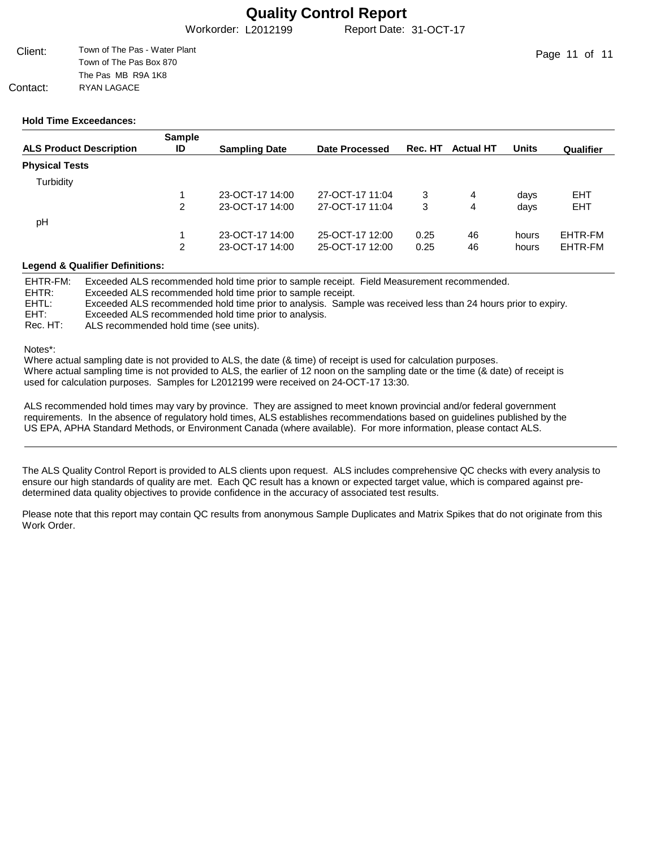Workorder: L2012199 Report Date: 31-OCT-17

| Client:  | Town of The Pas - Water Plant |
|----------|-------------------------------|
|          | Town of The Pas Box 870       |
|          | The Pas MB R9A 1K8            |
| Contact: | RYAN LAGACE                   |

### **Hold Time Exceedances:**

|                                | <b>Sample</b> |                      |                 |         |                  |              |            |
|--------------------------------|---------------|----------------------|-----------------|---------|------------------|--------------|------------|
| <b>ALS Product Description</b> | ID            | <b>Sampling Date</b> | Date Processed  | Rec. HT | <b>Actual HT</b> | <b>Units</b> | Qualifier  |
| <b>Physical Tests</b>          |               |                      |                 |         |                  |              |            |
| Turbidity                      |               |                      |                 |         |                  |              |            |
|                                |               | 23-OCT-17 14:00      | 27-OCT-17 11:04 | 3       | 4                | days         | EHT        |
|                                | 2             | 23-OCT-17 14:00      | 27-OCT-17 11:04 | 3       | 4                | days         | <b>EHT</b> |
| pH                             |               |                      |                 |         |                  |              |            |
|                                |               | 23-OCT-17 14:00      | 25-OCT-17 12:00 | 0.25    | 46               | hours        | EHTR-FM    |
|                                | 2             | 23-OCT-17 14:00      | 25-OCT-17 12:00 | 0.25    | 46               | hours        | EHTR-FM    |

### **Legend & Qualifier Definitions:**

EHTR-FM: EHTR: EHTL: EHT: Rec. HT: Exceeded ALS recommended hold time prior to sample receipt. Field Measurement recommended. Exceeded ALS recommended hold time prior to sample receipt. Exceeded ALS recommended hold time prior to analysis. Sample was received less than 24 hours prior to expiry. Exceeded ALS recommended hold time prior to analysis. ALS recommended hold time (see units).

Notes\*:

Where actual sampling date is not provided to ALS, the date (& time) of receipt is used for calculation purposes. Where actual sampling time is not provided to ALS, the earlier of 12 noon on the sampling date or the time (& date) of receipt is used for calculation purposes. Samples for L2012199 were received on 24-OCT-17 13:30.

ALS recommended hold times may vary by province. They are assigned to meet known provincial and/or federal government requirements. In the absence of regulatory hold times, ALS establishes recommendations based on guidelines published by the US EPA, APHA Standard Methods, or Environment Canada (where available). For more information, please contact ALS.

The ALS Quality Control Report is provided to ALS clients upon request. ALS includes comprehensive QC checks with every analysis to ensure our high standards of quality are met. Each QC result has a known or expected target value, which is compared against predetermined data quality objectives to provide confidence in the accuracy of associated test results.

Please note that this report may contain QC results from anonymous Sample Duplicates and Matrix Spikes that do not originate from this Work Order.